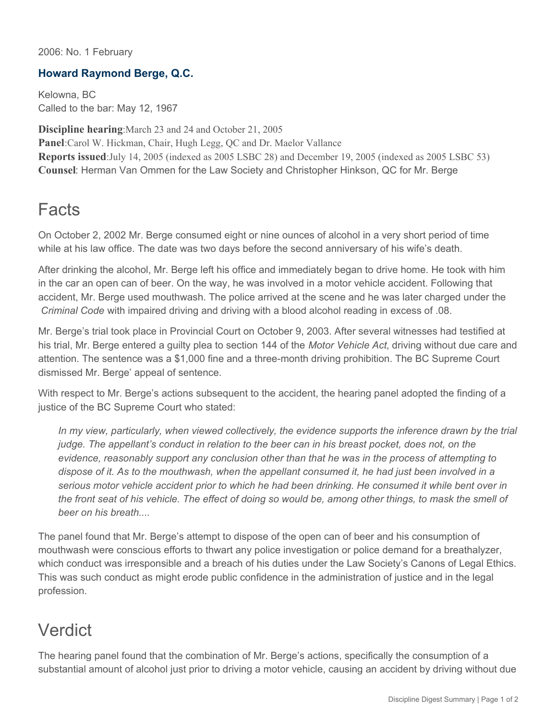2006: No. 1 February

## **Howard Raymond Berge, Q.C.**

Kelowna, BC Called to the bar: May 12, 1967

**Discipline hearing**:March 23 and 24 and October 21, 2005 **Panel**:Carol W. Hickman, Chair, Hugh Legg, QC and Dr. Maelor Vallance **Reports issued**:July 14, 2005 (indexed as 2005 LSBC 28) and December 19, 2005 (indexed as 2005 LSBC 53) **Counsel**: Herman Van Ommen for the Law Society and Christopher Hinkson, QC for Mr. Berge

## **Facts**

On October 2, 2002 Mr. Berge consumed eight or nine ounces of alcohol in a very short period of time while at his law office. The date was two days before the second anniversary of his wife's death.

After drinking the alcohol, Mr. Berge left his office and immediately began to drive home. He took with him in the car an open can of beer. On the way, he was involved in a motor vehicle accident. Following that accident, Mr. Berge used mouthwash. The police arrived at the scene and he was later charged under the *Criminal Code* with impaired driving and driving with a blood alcohol reading in excess of .08.

Mr. Berge's trial took place in Provincial Court on October 9, 2003. After several witnesses had testified at his trial, Mr. Berge entered a guilty plea to section 144 of the *Motor Vehicle Act*, driving without due care and attention. The sentence was a \$1,000 fine and a three-month driving prohibition. The BC Supreme Court dismissed Mr. Berge' appeal of sentence.

With respect to Mr. Berge's actions subsequent to the accident, the hearing panel adopted the finding of a justice of the BC Supreme Court who stated:

*In my view, particularly, when viewed collectively, the evidence supports the inference drawn by the trial judge. The appellant's conduct in relation to the beer can in his breast pocket, does not, on the evidence, reasonably support any conclusion other than that he was in the process of attempting to dispose of it. As to the mouthwash, when the appellant consumed it, he had just been involved in a serious motor vehicle accident prior to which he had been drinking. He consumed it while bent over in the front seat of his vehicle. The effect of doing so would be, among other things, to mask the smell of beer on his breath....* 

The panel found that Mr. Berge's attempt to dispose of the open can of beer and his consumption of mouthwash were conscious efforts to thwart any police investigation or police demand for a breathalyzer, which conduct was irresponsible and a breach of his duties under the Law Society's Canons of Legal Ethics. This was such conduct as might erode public confidence in the administration of justice and in the legal profession.

## Verdict

The hearing panel found that the combination of Mr. Berge's actions, specifically the consumption of a substantial amount of alcohol just prior to driving a motor vehicle, causing an accident by driving without due